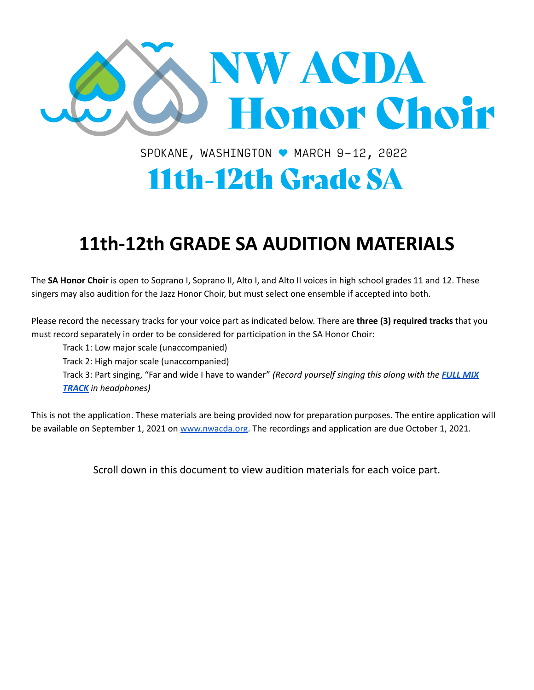

SPOKANE, WASHINGTON ♥ MARCH 9-12, 2022

# **11th-12th Grade SA**

## **11th-12th GRADE SA AUDITION MATERIALS**

The **SA Honor Choir** is open to Soprano I, Soprano II, Alto I, and Alto II voices in high school grades 11 and 12. These singers may also audition for the Jazz Honor Choir, but must select one ensemble if accepted into both.

Please record the necessary tracks for your voice part as indicated below. There are **three (3) required tracks** that you must record separately in order to be considered for participation in the SA Honor Choir:

Track 1: Low major scale (unaccompanied)

Track 2: High major scale (unaccompanied)

Track 3: Part singing, "Far and wide I have to wander" *(Record yourself singing this along with the [FULL](https://drive.google.com/file/d/1gIHGi5AV3ZNVzAcs05q-_Up6p12aoX4F/view?usp=sharing) MIX [TRACK](https://drive.google.com/file/d/1gIHGi5AV3ZNVzAcs05q-_Up6p12aoX4F/view?usp=sharing) in headphones)*

This is not the application. These materials are being provided now for preparation purposes. The entire application will be available on September 1, 2021 on [www.nwacda.org](http://www.nwacda.org). The recordings and application are due October 1, 2021.

Scroll down in this document to view audition materials for each voice part.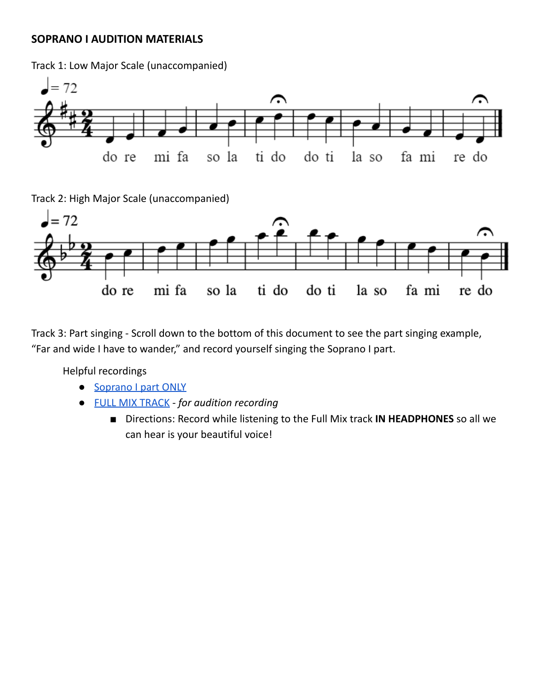#### **SOPRANO I AUDITION MATERIALS**

Track 1: Low Major Scale (unaccompanied)



Track 2: High Major Scale (unaccompanied)



Track 3: Part singing - Scroll down to the bottom of this document to see the part singing example, "Far and wide I have to wander," and record yourself singing the Soprano I part.

- [Soprano](https://drive.google.com/file/d/12YnYjPzdEP6YzasFZhnl-XAmGC6qYJfy/view?usp=sharing) I part ONLY
- FULL MIX [TRACK](https://drive.google.com/file/d/1gIHGi5AV3ZNVzAcs05q-_Up6p12aoX4F/view?usp=sharing) *- for audition recording*
	- Directions: Record while listening to the Full Mix track **IN HEADPHONES** so all we can hear is your beautiful voice!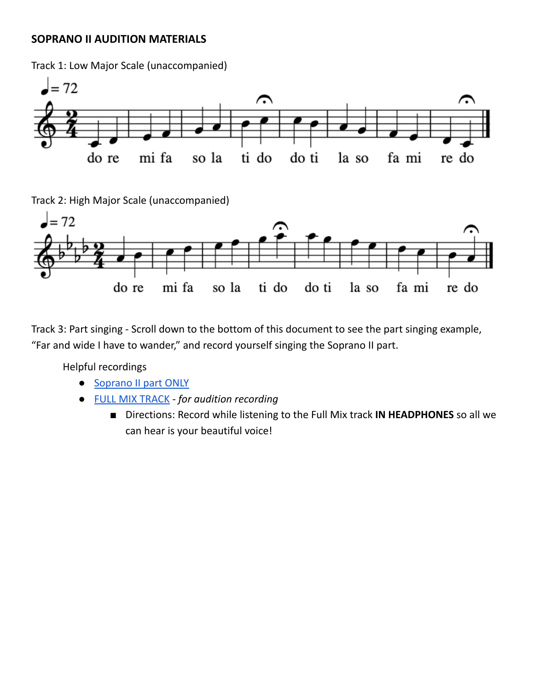#### **SOPRANO II AUDITION MATERIALS**

Track 1: Low Major Scale (unaccompanied)



Track 2: High Major Scale (unaccompanied)



Track 3: Part singing - Scroll down to the bottom of this document to see the part singing example, "Far and wide I have to wander," and record yourself singing the Soprano II part.

- [Soprano](https://drive.google.com/file/d/1i8hnI9iPXhkFwB-TQ-I_PoWaQCI7XGqu/view?usp=sharing) II part ONLY
- FULL MIX [TRACK](https://drive.google.com/file/d/1gIHGi5AV3ZNVzAcs05q-_Up6p12aoX4F/view?usp=sharing) *- for audition recording*
	- Directions: Record while listening to the Full Mix track **IN HEADPHONES** so all we can hear is your beautiful voice!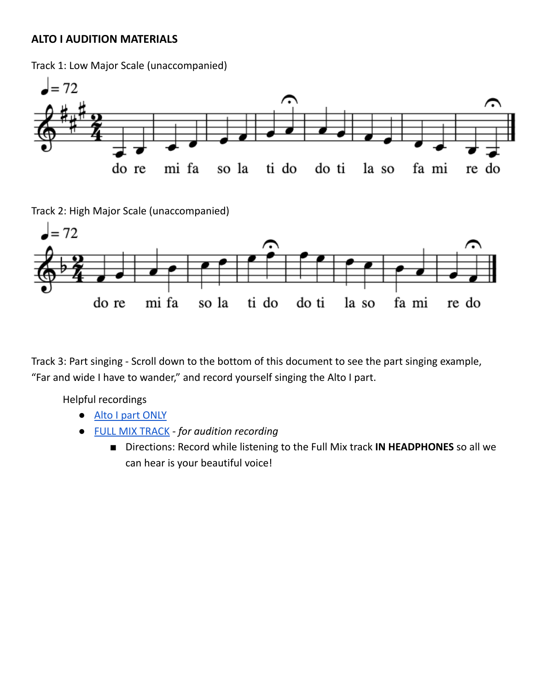#### **ALTO I AUDITION MATERIALS**

Track 1: Low Major Scale (unaccompanied)



Track 2: High Major Scale (unaccompanied)



Track 3: Part singing - Scroll down to the bottom of this document to see the part singing example, "Far and wide I have to wander," and record yourself singing the Alto I part.

- Alto I part [ONLY](https://drive.google.com/file/d/1qM1RYavcIo1gXj5mlRAAMagkSzsemE10/view?usp=sharing)
- FULL MIX [TRACK](https://drive.google.com/file/d/1gIHGi5AV3ZNVzAcs05q-_Up6p12aoX4F/view?usp=sharing) *- for audition recording*
	- Directions: Record while listening to the Full Mix track **IN HEADPHONES** so all we can hear is your beautiful voice!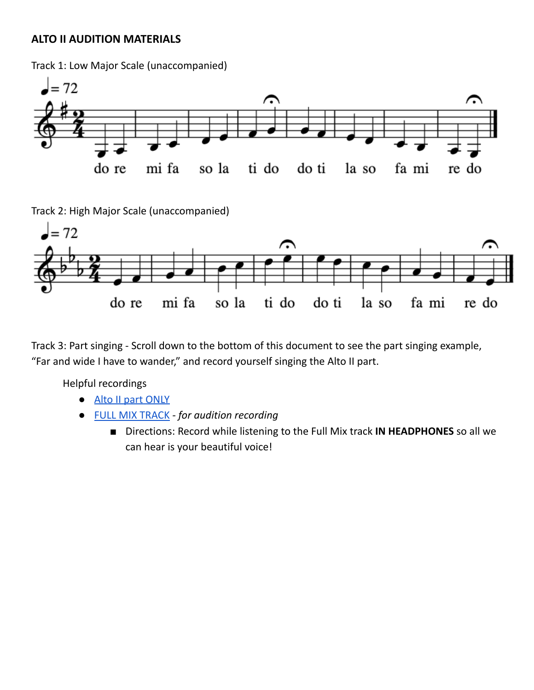#### **ALTO II AUDITION MATERIALS**

Track 1: Low Major Scale (unaccompanied)



Track 2: High Major Scale (unaccompanied)



Track 3: Part singing - Scroll down to the bottom of this document to see the part singing example, "Far and wide I have to wander," and record yourself singing the Alto II part.

- Alto II part [ONLY](https://drive.google.com/file/d/1fH5O1NDUVeQrKsAZSPywNnojojvjPmm6/view?usp=sharing)
- FULL MIX [TRACK](https://drive.google.com/file/d/1gIHGi5AV3ZNVzAcs05q-_Up6p12aoX4F/view?usp=sharing) *- for audition recording*
	- Directions: Record while listening to the Full Mix track **IN HEADPHONES** so all we can hear is your beautiful voice!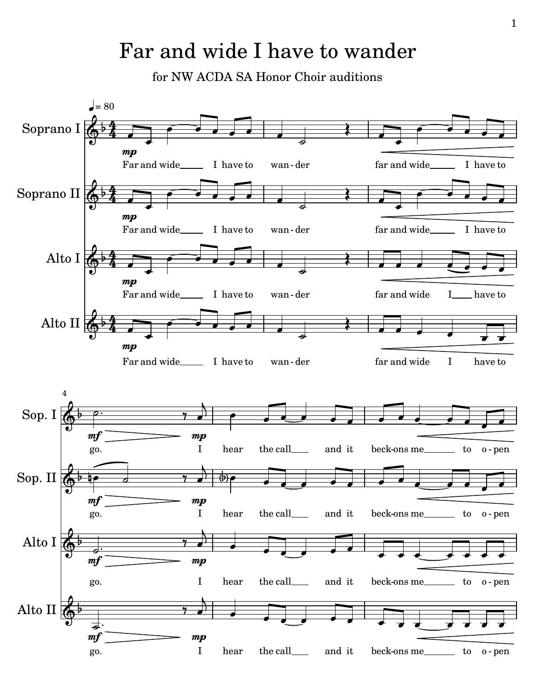### Far and wide I have to wander

for NW ACDA SA Honor Choir auditions